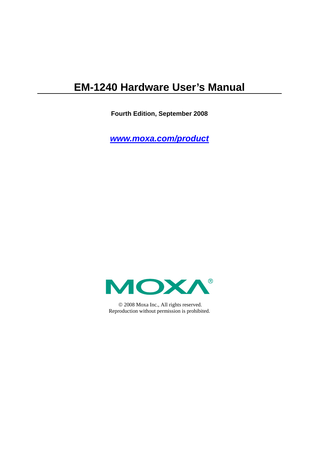# **EM-1240 Hardware User's Manual**

**Fourth Edition, September 2008** 

*[www.moxa.com/product](http://www.moxa.com/product)*



© 2008 Moxa Inc., All rights reserved. Reproduction without permission is prohibited.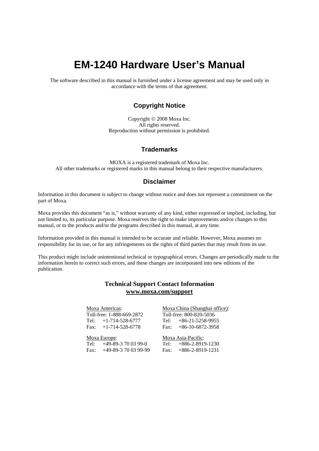# **EM-1240 Hardware User's Manual**

The software described in this manual is furnished under a license agreement and may be used only in accordance with the terms of that agreement.

### **Copyright Notice**

Copyright © 2008 Moxa Inc. All rights reserved. Reproduction without permission is prohibited.

### **Trademarks**

MOXA is a registered trademark of Moxa Inc. All other trademarks or registered marks in this manual belong to their respective manufacturers.

### **Disclaimer**

Information in this document is subject to change without notice and does not represent a commitment on the part of Moxa.

Moxa provides this document "as is," without warranty of any kind, either expressed or implied, including, but not limited to, its particular purpose. Moxa reserves the right to make improvements and/or changes to this manual, or to the products and/or the programs described in this manual, at any time.

Information provided in this manual is intended to be accurate and reliable. However, Moxa assumes no responsibility for its use, or for any infringements on the rights of third parties that may result from its use.

This product might include unintentional technical or typographical errors. Changes are periodically made to the information herein to correct such errors, and these changes are incorporated into new editions of the publication.

### **Technical Support Contact Information [www.moxa.com/support](http://www.moxa.com/support)**

### Moxa Americas:

Toll-free: 1-888-669-2872 Tel: +1-714-528-6777 Fax:  $+1-714-528-6778$ 

### Moxa China (Shanghai office): Toll-free: 800-820-5036 Tel: +86-21-5258-9955

 $Fax: +86-10-6872-3958$ 

### Moxa Europe:

Tel: +49-89-3 70 03 99-0 Fax: +49-89-3 70 03 99-99 Moxa Asia-Pacific:

Tel: +886-2-8919-1230 Fax: +886-2-8919-1231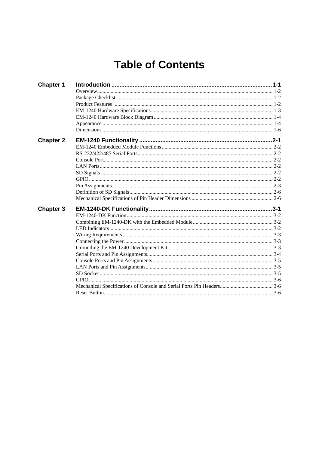# **Table of Contents**

| <b>Chapter 1</b> |  |
|------------------|--|
|                  |  |
|                  |  |
|                  |  |
|                  |  |
|                  |  |
|                  |  |
|                  |  |
| <b>Chapter 2</b> |  |
|                  |  |
|                  |  |
|                  |  |
|                  |  |
|                  |  |
|                  |  |
|                  |  |
|                  |  |
|                  |  |
| <b>Chapter 3</b> |  |
|                  |  |
|                  |  |
|                  |  |
|                  |  |
|                  |  |
|                  |  |
|                  |  |
|                  |  |
|                  |  |
|                  |  |
|                  |  |
|                  |  |
|                  |  |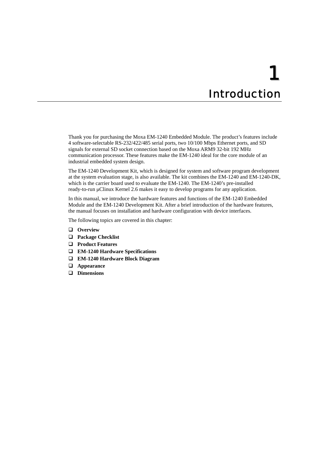# 1 **Introduction**

<span id="page-3-0"></span>Thank you for purchasing the Moxa EM-1240 Embedded Module. The product's features include 4 software-selectable RS-232/422/485 serial ports, two 10/100 Mbps Ethernet ports, and SD signals for external SD socket connection based on the Moxa ARM9 32-bit 192 MHz communication processor. These features make the EM-1240 ideal for the core module of an industrial embedded system design.

The EM-1240 Development Kit, which is designed for system and software program development at the system evaluation stage, is also available. The kit combines the EM-1240 and EM-1240-DK, which is the carrier board used to evaluate the EM-1240. The EM-1240's pre-installed ready-to-run μClinux Kernel 2.6 makes it easy to develop programs for any application.

In this manual, we introduce the hardware features and functions of the EM-1240 Embedded Module and the EM-1240 Development Kit. After a brief introduction of the hardware features, the manual focuses on installation and hardware configuration with device interfaces.

The following topics are covered in this chapter:

- **[Overview](#page-4-1)**
- **[Package Checklist](#page-4-2)**
- **[Product Features](#page-4-3)**
- **[EM-1240 Hardware Specifications](#page-5-1)**
- **[EM-1240 Hardware Block Diagram](#page-6-1)**
- **[Appearance](#page-6-2)**
- **[Dimensions](#page-8-1)**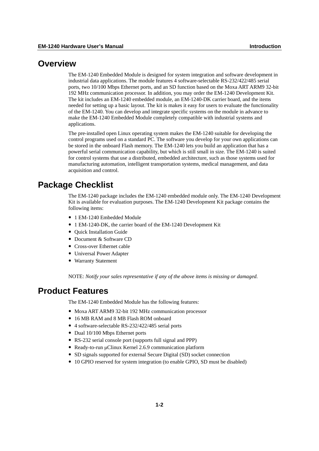### <span id="page-4-1"></span><span id="page-4-0"></span>**Overview**

The EM-1240 Embedded Module is designed for system integration and software development in industrial data applications. The module features 4 software-selectable RS-232/422/485 serial ports, two 10/100 Mbps Ethernet ports, and an SD function based on the Moxa ART ARM9 32-bit 192 MHz communication processor. In addition, you may order the EM-1240 Development Kit. The kit includes an EM-1240 embedded module, an EM-1240-DK carrier board, and the items needed for setting up a basic layout. The kit is makes it easy for users to evaluate the functionality of the EM-1240. You can develop and integrate specific systems on the module in advance to make the EM-1240 Embedded Module completely compatible with industrial systems and applications.

The pre-installed open Linux operating system makes the EM-1240 suitable for developing the control programs used on a standard PC. The software you develop for your own applications can be stored in the onboard Flash memory. The EM-1240 lets you build an application that has a powerful serial communication capability, but which is still small in size. The EM-1240 is suited for control systems that use a distributed, embedded architecture, such as those systems used for manufacturing automation, intelligent transportation systems, medical management, and data acquisition and control.

### <span id="page-4-2"></span>**Package Checklist**

The EM-1240 package includes the EM-1240 embedded module only. The EM-1240 Development Kit is available for evaluation purposes. The EM-1240 Development Kit package contains the following items:

- 1 EM-1240 Embedded Module
- y 1 EM-1240-DK, the carrier board of the EM-1240 Development Kit
- Ouick Installation Guide
- Document & Software CD
- Cross-over Ethernet cable
- Universal Power Adapter
- Warranty Statement

NOTE: *Notify your sales representative if any of the above items is missing or damaged.*

### <span id="page-4-3"></span>**Product Features**

The EM-1240 Embedded Module has the following features:

- Moxa ART ARM9 32-bit 192 MHz communication processor
- y 16 MB RAM and 8 MB Flash ROM onboard
- 4 software-selectable RS-232/422/485 serial ports
- Dual 10/100 Mbps Ethernet ports
- RS-232 serial console port (supports full signal and PPP)
- Ready-to-run μClinux Kernel 2.6.9 communication platform
- SD signals supported for external Secure Digital (SD) socket connection
- 10 GPIO reserved for system integration (to enable GPIO, SD must be disabled)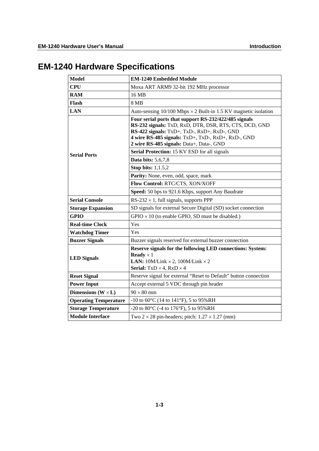# <span id="page-5-1"></span><span id="page-5-0"></span>**EM-1240 Hardware Specifications**

| <b>Model</b>                 | <b>EM-1240 Embedded Module</b>                                                                                                                                                                                                                                   |  |  |  |  |
|------------------------------|------------------------------------------------------------------------------------------------------------------------------------------------------------------------------------------------------------------------------------------------------------------|--|--|--|--|
| <b>CPU</b>                   | Moxa ART ARM9 32-bit 192 MHz processor                                                                                                                                                                                                                           |  |  |  |  |
| <b>RAM</b>                   | 16 MB                                                                                                                                                                                                                                                            |  |  |  |  |
| Flash                        | 8 MB                                                                                                                                                                                                                                                             |  |  |  |  |
| <b>LAN</b>                   | Auto-sensing $10/100$ Mbps $\times$ 2 Built-in 1.5 KV magnetic isolation                                                                                                                                                                                         |  |  |  |  |
|                              | Four serial ports that support RS-232/422/485 signals<br>RS-232 signals: TxD, RxD, DTR, DSR, RTS, CTS, DCD, GND<br>RS-422 signals: TxD+, TxD-, RxD+, RxD-, GND<br>4 wire RS-485 signals: TxD+, TxD-, RxD+, RxD-, GND<br>2 wire RS-485 signals: Data+, Data-, GND |  |  |  |  |
| <b>Serial Ports</b>          | Serial Protection: 15 KV ESD for all signals                                                                                                                                                                                                                     |  |  |  |  |
|                              | <b>Data bits:</b> 5,6,7,8                                                                                                                                                                                                                                        |  |  |  |  |
|                              | <b>Stop bits:</b> 1,1.5,2                                                                                                                                                                                                                                        |  |  |  |  |
|                              | Parity: None, even, odd, space, mark                                                                                                                                                                                                                             |  |  |  |  |
|                              | Flow Control: RTC/CTS, XON/XOFF                                                                                                                                                                                                                                  |  |  |  |  |
|                              | Speed: 50 bps to 921.6 Kbps, support Any Baudrate                                                                                                                                                                                                                |  |  |  |  |
| <b>Serial Console</b>        | RS-232 $\times$ 1, full signals, supports PPP                                                                                                                                                                                                                    |  |  |  |  |
| <b>Storage Expansion</b>     | SD signals for external Secure Digital (SD) socket connection                                                                                                                                                                                                    |  |  |  |  |
| <b>GPIO</b>                  | $GPIO \times 10$ (to enable GPIO, SD must be disabled.)                                                                                                                                                                                                          |  |  |  |  |
| <b>Real-time Clock</b>       | Yes                                                                                                                                                                                                                                                              |  |  |  |  |
| <b>Watchdog Timer</b>        | Yes                                                                                                                                                                                                                                                              |  |  |  |  |
| <b>Buzzer Signals</b>        | Buzzer signals reserved for external buzzer connection                                                                                                                                                                                                           |  |  |  |  |
| <b>LED</b> Signals           | Reserve signals for the following LED connections: System:<br><b>Ready</b> $\times$ 1<br><b>LAN:</b> $10M/Link \times 2$ , $100M/Link \times 2$<br><b>Serial:</b> $TxD \times 4$ , $RxD \times 4$                                                                |  |  |  |  |
| <b>Reset Signal</b>          | Reserve signal for external "Reset to Default" button connection                                                                                                                                                                                                 |  |  |  |  |
| <b>Power Input</b>           | Accept external 5 VDC through pin header                                                                                                                                                                                                                         |  |  |  |  |
| Dimensions $(W \times L)$    | $90 \times 80$ mm                                                                                                                                                                                                                                                |  |  |  |  |
| <b>Operating Temperature</b> | $-10$ to 60 $\rm{^{\circ}C}$ (14 to 141 $\rm{^{\circ}F}$ ), 5 to 95%RH                                                                                                                                                                                           |  |  |  |  |
| <b>Storage Temperature</b>   | -20 to 80 $^{\circ}$ C (-4 to 176 $^{\circ}$ F), 5 to 95%RH                                                                                                                                                                                                      |  |  |  |  |
| <b>Module Interface</b>      | Two $2 \times 28$ pin-headers; pitch: $1.27 \times 1.27$ (mm)                                                                                                                                                                                                    |  |  |  |  |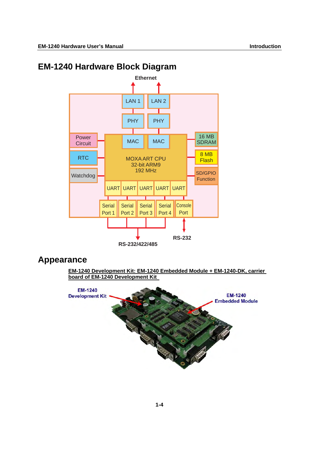# <span id="page-6-1"></span><span id="page-6-0"></span>**EM-1240 Hardware Block Diagram**



## <span id="page-6-2"></span>**Appearance**

**EM-1240 Development Kit: EM-1240 Embedded Module + EM-1240-DK, carrier board of EM-1240 Development Kit** 

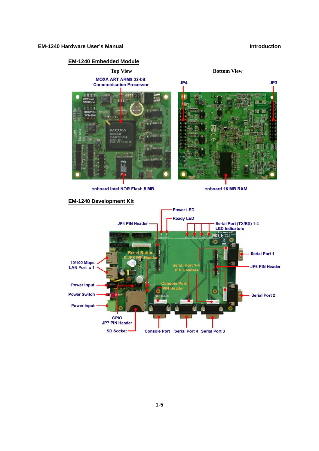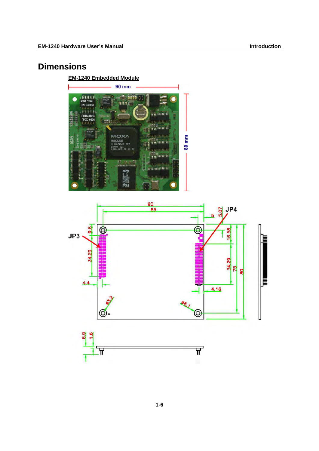# <span id="page-8-1"></span><span id="page-8-0"></span>**Dimensions**

**EM-1240 Embedded Module**



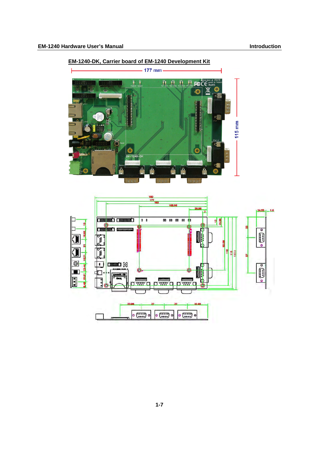

### **EM-1240-DK, Carrier board of EM-1240 Development Kit**

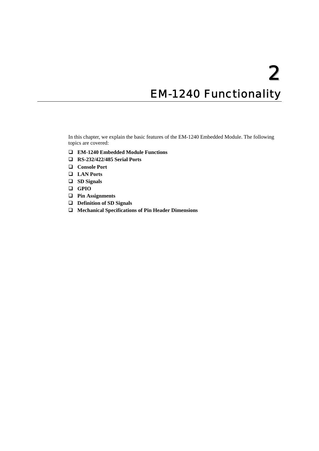# **EM-1240 Functionality**

<span id="page-10-0"></span>In this chapter, we explain the basic features of the EM-1240 Embedded Module. The following topics are covered:

- **[EM-1240 Embedded Module Functions](#page-11-1)**
- **[RS-232/422/485 Serial Ports](#page-11-2)**
- **[Console Port](#page-11-3)**
- **[LAN Ports](#page-11-4)**
- **[SD Signals](#page-11-5)**
- **[GPIO](#page-11-6)**
- **[Pin Assignments](#page-12-1)**
- **[Definition of SD Signals](#page-15-1)**
- **[Mechanical Specifications of Pin Header Dimensions](#page-15-2)**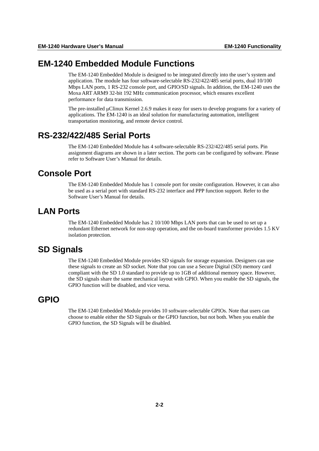### <span id="page-11-1"></span><span id="page-11-0"></span>**EM-1240 Embedded Module Functions**

The EM-1240 Embedded Module is designed to be integrated directly into the user's system and application. The module has four software-selectable RS-232/422/485 serial ports, dual 10/100 Mbps LAN ports, 1 RS-232 console port, and GPIO/SD signals. In addition, the EM-1240 uses the Moxa ART ARM9 32-bit 192 MHz communication processor, which ensures excellent performance for data transmission.

The pre-installed μClinux Kernel 2.6.9 makes it easy for users to develop programs for a variety of applications. The EM-1240 is an ideal solution for manufacturing automation, intelligent transportation monitoring, and remote device control.

### <span id="page-11-2"></span>**RS-232/422/485 Serial Ports**

The EM-1240 Embedded Module has 4 software-selectable RS-232/422/485 serial ports. Pin assignment diagrams are shown in a later section. The ports can be configured by software. Please refer to Software User's Manual for details.

### <span id="page-11-3"></span>**Console Port**

The EM-1240 Embedded Module has 1 console port for onsite configuration. However, it can also be used as a serial port with standard RS-232 interface and PPP function support. Refer to the Software User's Manual for details.

### <span id="page-11-4"></span>**LAN Ports**

The EM-1240 Embedded Module has 2 10/100 Mbps LAN ports that can be used to set up a redundant Ethernet network for non-stop operation, and the on-board transformer provides 1.5 KV isolation protection.

### <span id="page-11-5"></span>**SD Signals**

The EM-1240 Embedded Module provides SD signals for storage expansion. Designers can use these signals to create an SD socket. Note that you can use a Secure Digital (SD) memory card compliant with the SD 1.0 standard to provide up to 1GB of additional memory space. However, the SD signals share the same mechanical layout with GPIO. When you enable the SD signals, the GPIO function will be disabled, and vice versa.

### <span id="page-11-6"></span>**GPIO**

The EM-1240 Embedded Module provides 10 software-selectable GPIOs. Note that users can choose to enable either the SD Signals or the GPIO function, but not both. When you enable the GPIO function, the SD Signals will be disabled.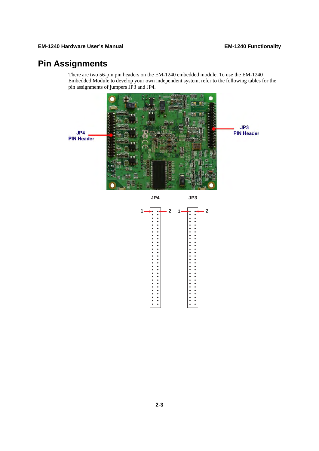# <span id="page-12-1"></span><span id="page-12-0"></span>**Pin Assignments**

There are two 56-pin pin headers on the EM-1240 embedded module. To use the EM-1240 Embedded Module to develop your own independent system, refer to the following tables for the pin assignments of jumpers JP3 and JP4.

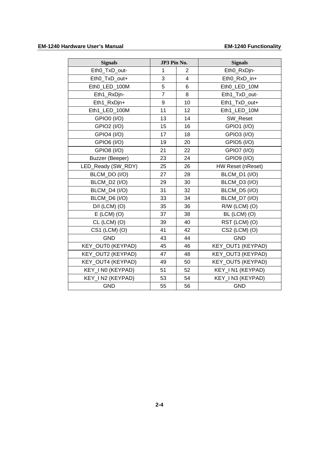### EM-1240 Hardware User's Manual **EM-1240** Functionality

| <b>Signals</b>       | JP3 Pin No.    |                         | <b>Signals</b>     |  |
|----------------------|----------------|-------------------------|--------------------|--|
| Eth0_TxD_out-        | 1              | $\overline{2}$          | Eth0_RxDjn-        |  |
| Eth0_TxD_out+        | 3              | $\overline{\mathbf{4}}$ | Eth0 RxD in+       |  |
| Eth0_LED_100M        | 5              | 6                       | Eth0_LED_10M       |  |
| Eth1_RxDjn-          | $\overline{7}$ | 8                       | Eth1_TxD_out-      |  |
| Eth1_RxDjn+          | 9              | 10                      | Eth1_TxD_out+      |  |
| Eth1_LED_100M        | 11             | 12                      | Eth1_LED_10M       |  |
| GPIO0 (I/O)          | 13             | 14                      | SW Reset           |  |
| <b>GPIO2 (I/O)</b>   | 15             | 16                      | <b>GPIO1 (I/O)</b> |  |
| <b>GPIO4 (I/O)</b>   | 17             | 18                      | <b>GPIO3 (I/O)</b> |  |
| <b>GPIO6 (I/O)</b>   | 19             | 20                      | <b>GPIO5 (I/O)</b> |  |
| GPIO8 (I/O)          | 21             | 22                      | GPIO7 (I/O)        |  |
| Buzzer (Beeper)      | 23             | 24                      | GPIO9 (I/O)        |  |
| LED_Ready (SW_RDY)   | 25             | 26                      | HW Reset (nReset)  |  |
| BLCM_DO (I/O)        | 27             | 28                      | BLCM_D1 (I/O)      |  |
| BLCM_D2 (I/O)        | 29             | 30                      | BLCM_D3 (I/O)      |  |
| <b>BLCM_D4 (I/O)</b> | 31             | 32                      | BLCM_D5 (I/O)      |  |
| BLCM_D6 (I/O)        | 33             | 34                      | BLCM_D7 (I/O)      |  |
| $D/I$ (LCM) (O)      | 35             | 36                      | R/W (LCM) (O)      |  |
| $E$ (LCM) (O)        | 37             | 38                      | BL (LCM) (O)       |  |
| CL (LCM) (O)         | 39             | 40                      | RST (LCM) (O)      |  |
| CS1 (LCM) (O)        | 41             | 42                      | CS2 (LCM) (O)      |  |
| <b>GND</b>           | 43             | 44                      | <b>GND</b>         |  |
| KEY_OUT0 (KEYPAD)    | 45             | 46                      | KEY_OUT1 (KEYPAD)  |  |
| KEY_OUT2 (KEYPAD)    | 47             | 48                      | KEY_OUT3 (KEYPAD)  |  |
| KEY_OUT4 (KEYPAD)    | 49             | 50                      | KEY_OUT5 (KEYPAD)  |  |
| KEY_I N0 (KEYPAD)    | 51             | 52                      | KEY_I N1 (KEYPAD)  |  |
| KEY_I N2 (KEYPAD)    | 53             | 54                      | KEY_I N3 (KEYPAD)  |  |
| <b>GND</b>           | 55             | 56                      | <b>GND</b>         |  |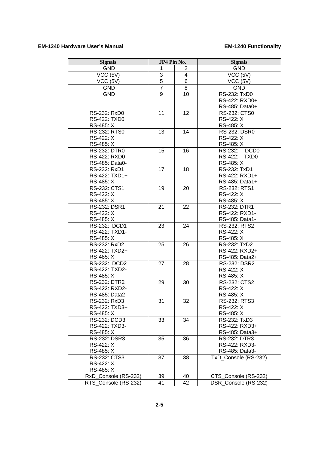| <b>Signals</b>       | JP4 Pin No.    |                | <b>Signals</b>       |
|----------------------|----------------|----------------|----------------------|
| <b>GND</b>           | 1              | $\overline{2}$ | <b>GND</b>           |
| VCC (5V)             | 3              | 4              | VCC (5V)             |
| VCC (5V)             | 5              | 6              | VCC (5V)             |
| <b>GND</b>           | $\overline{7}$ | 8              | <b>GND</b>           |
| <b>GND</b>           | 9              | 10             | RS-232: TxD0         |
|                      |                |                | RS-422: RXD0+        |
|                      |                |                | RS-485: Data0+       |
| RS-232: RxD0         | 11             | 12             | RS-232: CTS0         |
| RS-422: TXD0+        |                |                | RS-422: X            |
| RS-485: X            |                |                | RS-485: X            |
| RS-232: RTS0         | 13             | 14             | <b>RS-232: DSR0</b>  |
| RS-422: X            |                |                | RS-422: X            |
| RS-485: X            |                |                | RS-485: X            |
|                      |                |                |                      |
| <b>RS-232: DTR0</b>  | 15             | 16             | RS-232: DCD0         |
| RS-422: RXD0-        |                |                | RS-422: TXD0-        |
| RS-485: Data0-       |                |                | RS-485: X            |
| RS-232: RxD1         | 17             | 18             | RS-232: TxD1         |
| RS-422: TXD1+        |                |                | RS-422: RXD1+        |
| RS-485: X            |                |                | RS-485: Data1+       |
| RS-232: CTS1         | 19             | 20             | <b>RS-232: RTS1</b>  |
| RS-422: X            |                |                | RS-422: X            |
| RS-485: X            |                |                | RS-485: X            |
| RS-232: DSR1         | 21             | 22             | RS-232: DTR1         |
| RS-422: X            |                |                | RS-422: RXD1-        |
| RS-485: X            |                |                | RS-485: Data1-       |
| RS-232: DCD1         | 23             | 24             | RS-232: RTS2         |
| RS-422: TXD1-        |                |                | RS-422: X            |
| RS-485: X            |                |                | RS-485: X            |
| RS-232: RxD2         | 25             | 26             | RS-232: TxD2         |
| RS-422: TXD2+        |                |                | RS-422: RXD2+        |
| RS-485: X            |                |                | RS-485: Data2+       |
| RS-232: DCD2         | 27             | 28             | RS-232: DSR2         |
| RS-422: TXD2-        |                |                | RS-422: X            |
| RS-485: X            |                |                | RS-485: X            |
| <b>RS-232: DTR2</b>  | 29             | 30             | <b>RS-232: CTS2</b>  |
| RS-422: RXD2-        |                |                | RS-422: X            |
| RS-485: Data2-       |                |                | RS-485: X            |
| RS-232: RxD3         | 31             | 32             | RS-232: RTS3         |
| RS-422: TXD3+        |                |                | RS-422: X            |
| RS-485: X            |                |                | RS-485: X            |
| RS-232: DCD3         | 33             | 34             | RS-232: TxD3         |
| RS-422: TXD3-        |                |                | RS-422: RXD3+        |
| RS-485: X            |                |                | RS-485: Data3+       |
|                      |                |                |                      |
| RS-232: DSR3         | 35             | 36             | RS-232: DTR3         |
| RS-422: X            |                |                | RS-422: RXD3-        |
| RS-485: X            |                |                | RS-485: Data3-       |
| RS-232: CTS3         | 37             | 38             | TxD_Console (RS-232) |
| RS-422: X            |                |                |                      |
| RS-485: X            |                |                |                      |
| RxD Console (RS-232) | 39             | 40             | CTS_Console (RS-232) |
| RTS Console (RS-232) | 41             | 42             | DSR Console (RS-232) |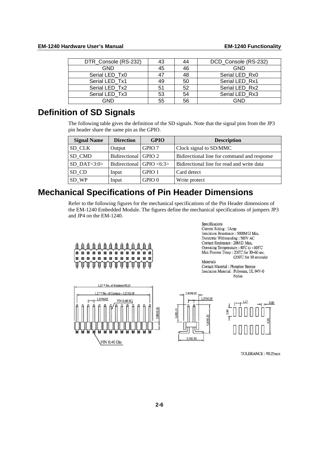<span id="page-15-0"></span>

| DTR_Console (RS-232) | 43 | 44 | DCD_Console (RS-232) |
|----------------------|----|----|----------------------|
| <b>GND</b>           | 45 | 46 | <b>GND</b>           |
| Serial LED Tx0       | 47 | 48 | Serial LED Rx0       |
| Serial LED Tx1       | 49 | 50 | Serial LED Rx1       |
| Serial LED Tx2       | 51 | 52 | Serial LED Rx2       |
| Serial LED Tx3       | 53 | 54 | Serial LED Rx3       |
| GND                  | 55 | 56 | GND                  |

# <span id="page-15-1"></span>**Definition of SD Signals**

The following table gives the definition of the SD signals. Note that the signal pins from the JP3 pin header share the same pin as the GPIO.

| <b>Signal Name</b> | <b>Direction</b>             | <b>GPIO</b>       | <b>Description</b>                          |  |
|--------------------|------------------------------|-------------------|---------------------------------------------|--|
| SD CLK             | Output                       | GPIO 7            | Clock signal to SD/MMC                      |  |
| SD CMD             | Bidirectional GPIO 2         |                   | Bidirectional line for command and response |  |
| SD DAT $<$ 3:0 $>$ | Bidirectional $ $ GPIO <6:3> |                   | Bidirectional line for read and write data  |  |
| SD_CD              | Input                        | GPIO 1            | Card detect                                 |  |
| SD_WP              | Input                        | GPIO <sub>0</sub> | Write protect                               |  |

# <span id="page-15-2"></span>**Mechanical Specifications of Pin Header Dimensions**

Refer to the following figures for the mechanical specifications of the Pin Header dimensions of the EM-1240 Embedded Module. The figures define the mechanical specifications of jumpers JP3 and JP4 on the EM-1240.



### Specifications Current Roting: 1Amp Insulation Resistance :  $5000M\Omega$  Min. Dietectric Withstanding: 500V AC Contact Resistance :  $20M\Omega$  Max. Operating Temperature :-40 $^{\circ}$ C to +105 $^{\circ}$ C Max Process Temp: 230°C for 30~60 sec. (260°C for 10 seconds)

Materials Contact Material : Phosphor Bronze Insulation Material : Polyester, UL 94V-0 Nylon



TOLERANCE: ±0.25mm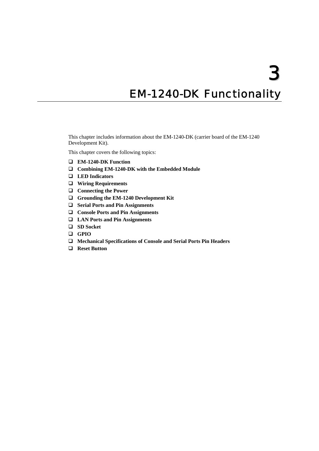# **EM-1240-DK Functionality**

<span id="page-16-0"></span>This chapter includes information about the EM-1240-DK (carrier board of the EM-1240 Development Kit).

This chapter covers the following topics:

- **[EM-1240-DK Function](#page-17-1)**
- **[Combining EM-1240-DK with the Embedded Module](#page-17-2)**
- **[LED Indicators](#page-17-3)**
- **[Wiring Requirements](#page-18-1)**
- **[Connecting the Power](#page-18-2)**
- **[Grounding the EM-1240 Development Kit](#page-18-3)**
- **[Serial Ports and Pin Assignments](#page-19-1)**
- **[Console Ports and Pin Assignments](#page-20-1)**
- **[LAN Ports and Pin Assignments](#page-20-2)**
- **[SD Socket](#page-20-3)**
- **[GPIO](#page-21-1)**
- **[Mechanical Specifications of Console and Serial Ports Pin Headers](#page-21-2)**
- **[Reset Button](#page-21-3)**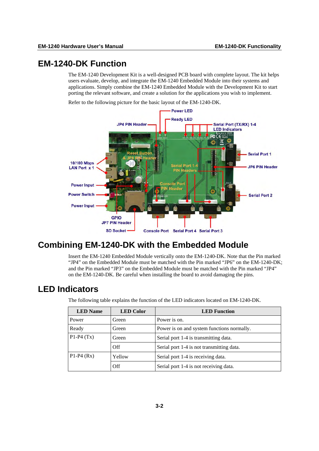### <span id="page-17-1"></span><span id="page-17-0"></span>**EM-1240-DK Function**

The EM-1240 Development Kit is a well-designed PCB board with complete layout. The kit helps users evaluate, develop, and integrate the EM-1240 Embedded Module into their systems and applications. Simply combine the EM-1240 Embedded Module with the Development Kit to start porting the relevant software, and create a solution for the applications you wish to implement.

Refer to the following picture for the basic layout of the EM-1240-DK.



## <span id="page-17-2"></span>**Combining EM-1240-DK with the Embedded Module**

Insert the EM-1240 Embedded Module vertically onto the EM-1240-DK. Note that the Pin marked "JP4" on the Embedded Module must be matched with the Pin marked "JP6" on the EM-1240-DK; and the Pin marked "JP3" on the Embedded Module must be matched with the Pin marked "JP4" on the EM-1240-DK. Be careful when installing the board to avoid damaging the pins.

### <span id="page-17-3"></span>**LED Indicators**

The following table explains the function of the LED indicators located on EM-1240-DK.

| <b>LED</b> Name | <b>LED Color</b> | <b>LED</b> Function                        |  |  |
|-----------------|------------------|--------------------------------------------|--|--|
| Power           | Green            | Power is on.                               |  |  |
| Ready           | Green            | Power is on and system functions normally. |  |  |
| $P1-P4(Tx)$     | Green            | Serial port 1-4 is transmitting data.      |  |  |
|                 | Off              | Serial port 1-4 is not transmitting data.  |  |  |
| $P1-P4(Rx)$     | Yellow           | Serial port 1-4 is receiving data.         |  |  |
|                 | Off              | Serial port 1-4 is not receiving data.     |  |  |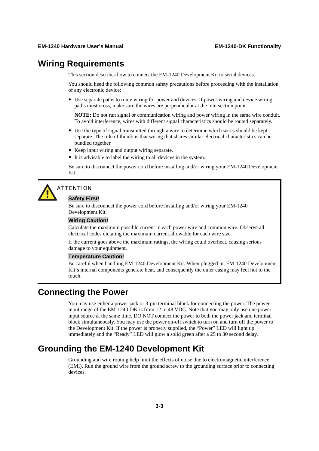### <span id="page-18-1"></span><span id="page-18-0"></span>**Wiring Requirements**

This section describes how to connect the EM-1240 Development Kit to serial devices.

You should heed the following common safety precautions before proceeding with the installation of any electronic device:

• Use separate paths to route wiring for power and devices. If power wiring and device wiring paths must cross, make sure the wires are perpendicular at the intersection point.

**NOTE:** Do not run signal or communication wiring and power wiring in the same wire conduit. To avoid interference, wires with different signal characteristics should be routed separately.

- Use the type of signal transmitted through a wire to determine which wires should be kept separate. The rule of thumb is that wiring that shares similar electrical characteristics can be bundled together.
- Keep input wiring and output wiring separate.
- It is advisable to label the wiring to all devices in the system.

Be sure to disconnect the power cord before installing and/or wiring your EM-1240 Development Kit.



# **ATTENTION**

### **Safety First!**

Be sure to disconnect the power cord before installing and/or wiring your EM-1240 Development Kit.

### **Wiring Caution!**

Calculate the maximum possible current in each power wire and common wire. Observe all electrical codes dictating the maximum current allowable for each wire size.

If the current goes above the maximum ratings, the wiring could overheat, causing serious damage to your equipment.

### **Temperature Caution!**

Be careful when handling EM-1240 Development Kit. When plugged in, EM-1240 Development Kit's internal components generate heat, and consequently the outer casing may feel hot to the touch.

### <span id="page-18-2"></span>**Connecting the Power**

You may use either a power jack or 3-pin terminal block for connecting the power. The power input range of the EM-1240-DK is from 12 to 48 VDC. Note that you may only use one power input source at the same time. DO NOT connect the power to both the power jack and terminal block simultaneously. You may use the power on-off switch to turn on and turn off the power to the Development Kit. If the power is properly supplied, the "Power" LED will light up immediately and the "Ready" LED will glow a solid green after a 25 to 30 second delay.

### <span id="page-18-3"></span>**Grounding the EM-1240 Development Kit**

Grounding and wire routing help limit the effects of noise due to electromagnetic interference (EMI). Run the ground wire from the ground screw to the grounding surface prior to connecting devices.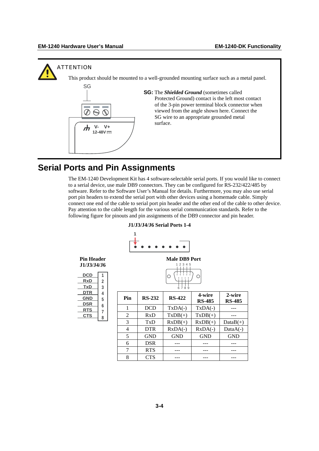<span id="page-19-0"></span>

### <span id="page-19-1"></span>**Serial Ports and Pin Assignments**

The EM-1240 Development Kit has 4 software-selectable serial ports. If you would like to connect to a serial device, use male DB9 connectors. They can be configured for RS-232/422/485 by software. Refer to the Software User's Manual for details. Furthermore, you may also use serial port pin headers to extend the serial port with other devices using a homemade cable. Simply connect one end of the cable to serial port pin header and the other end of the cable to other device. Pay attention to the cable length for the various serial communication standards. Refer to the following figure for pinouts and pin assignments of the DB9 connector and pin header.

| <b>Pin Header</b><br>J1/J3/J4/J6 |                          |                |               | <b>Male DB9 Port</b><br>1 2 3 4 5 |                         |                         |
|----------------------------------|--------------------------|----------------|---------------|-----------------------------------|-------------------------|-------------------------|
| <b>DCD</b><br><b>RxD</b><br>TxD  | 1<br>$\overline{2}$<br>3 |                | 6789          |                                   |                         |                         |
| <b>DTR</b><br><b>GND</b>         | 4<br>5                   | Pin            | <b>RS-232</b> | <b>RS-422</b>                     | 4-wire<br><b>RS-485</b> | 2-wire<br><b>RS-485</b> |
| <b>DSR</b><br><b>RTS</b>         | 6<br>7                   | 1              | <b>DCD</b>    | $TxDA(-)$                         | $TxDA(-)$               |                         |
| <b>CTS</b>                       | 8                        | $\overline{2}$ | RxD           | $TxDB(+)$                         | $TxDB(+)$               |                         |
|                                  |                          | 3              | TxD           | $RxDB(+)$                         | $RxDB(+)$               | $DataB(+)$              |
|                                  |                          | $\overline{4}$ | <b>DTR</b>    | $RxDA(-)$                         | $RxDA(-)$               | $DataA(-)$              |
|                                  |                          | 5              | <b>GND</b>    | <b>GND</b>                        | <b>GND</b>              | <b>GND</b>              |
|                                  |                          | 6              | <b>DSR</b>    |                                   |                         |                         |
|                                  |                          | 7              | <b>RTS</b>    |                                   |                         |                         |
|                                  |                          | 8              | <b>CTS</b>    |                                   |                         |                         |

### **J1/J3/J4/J6 Serial Ports 1-4**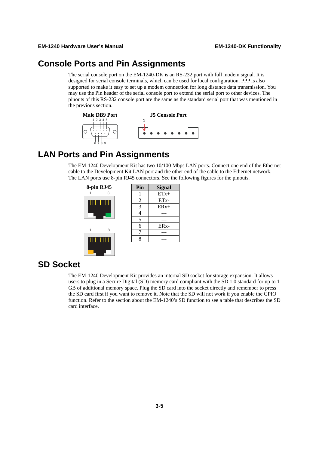### <span id="page-20-1"></span><span id="page-20-0"></span>**Consol e Ports and Pin Assignments**

may use the Pin header of the serial console port to extend the serial port to other devices. The pinouts of this RS-232 console port are the same as the standard serial port that was mentioned in the previous section. The serial console port on the EM-1240-DK is an RS-232 port with full modem signal. It is designed for serial console terminals, which can be used for local configuration. PPP is also supported to make it easy to set up a modem connection for long distance data transmission. You



## <span id="page-20-2"></span>**LAN Ports and Pin Assignments**

The EM-1240 Development Kit has two 10/100 Mbps LAN ports. Connect one end of the Ethernet cable to the Development Kit LAN port and the other end of the cable to the Ethernet network. The LAN ports use 8-pin RJ45 connectors. See the following figures for the pinouts.



### <span id="page-20-3"></span>**SD Soc ket**

the SD card first if you want to remove it. Note that the SD will not work if you enable the GPIO function. Refer to the section about the EM-1240's SD function to see a table that describes the SD ard interface. c The EM-1240 Development Kit provides an internal SD socket for storage expansion. It allows users to plug in a Secure Digital (SD) memory card compliant with the SD 1.0 standard for up to 1 GB of additional memory space. Plug the SD card into the socket directly and remember to press